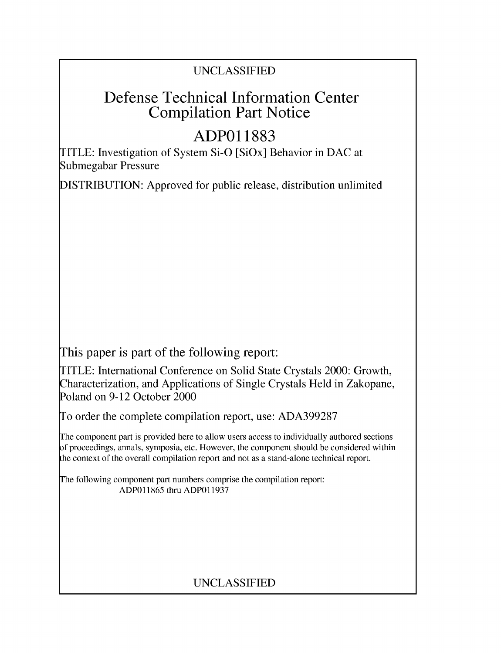## UNCLASSIFIED

## Defense Technical Information Center Compilation Part Notice

# **ADPO1 1883**

TITLE: Investigation of System Si-O [SiOx] Behavior in DAC at Submegabar Pressure

DISTRIBUTION: Approved for public release, distribution unlimited

This paper is part of the following report:

TITLE: International Conference on Solid State Crystals 2000: Growth, Characterization, and Applications of Single Crystals Held in Zakopane, Poland on 9-12 October 2000

To order the complete compilation report, use: ADA399287

The component part is provided here to allow users access to individually authored sections f proceedings, annals, symposia, etc. However, the component should be considered within [he context of the overall compilation report and not as a stand-alone technical report.

The following component part numbers comprise the compilation report: ADP011865 thru ADP011937

## UNCLASSIFIED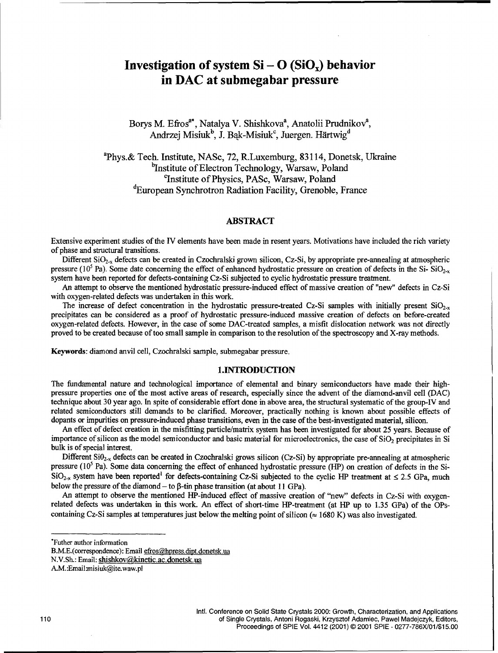### **Investigation of system**  $Si - O(SiO_x)$  **behavior** in **DAC** at submegabar pressure

Borys M. Efros<sup>a\*</sup>, Natalya V. Shishkova<sup>a</sup>, Anatolii Prudnikov<sup>a</sup>, Andrzej Misiuk<sup>b</sup>, J. Bak-Misiuk<sup>c</sup>, Juergen. Härtwig<sup>d</sup>

aPhys.& Tech. Institute, NASc, 72, R.Luxemburg, 83114, Donetsk, Ukraine <sup>b</sup>Institute of Electron Technology, Warsaw, Poland <sup>c</sup>Institute of Physics, PASc, Warsaw, Poland dEuropean Synchrotron Radiation Facility, Grenoble, France

#### ABSTRACT

Extensive experiment studies of the IV elements have been made in resent years. Motivations have included the rich variety of phase and structural transitions.

Different SiO<sub>2-x</sub> defects can be created in Czochralski grown silicon, Cz-Si, by appropriate pre-annealing at atmospheric pressure  $(10^5 \text{ Pa})$ . Some date concerning the effect of enhanced hydrostatic pressure on creation of defects in the Si- SiO<sub>2-x</sub> system have been reported for defects-containing Cz-Si subjected to cyclic hydrostatic pressure treatment.

An attempt to observe the mentioned hydrostatic pressure-induced effect of massive creation of "new" defects in Cz-Si with oxygen-related defects was undertaken in this work.

The increase of defect concentration in the hydrostatic pressure-treated Cz-Si samples with initially present  $SiO_{2-x}$ precipitates can be considered as a proof of hydrostatic pressure-induced massive creation of defects on before-created oxygen-related defects. However, in the case of some DAC-treated samples, a misfit dislocation network was not directly proved to be created because of too small sample in comparison to the resolution of the spectroscopy and X-ray methods.

Keywords: diamond anvil cell, Czochralski sample, submegabar pressure.

#### 1.INTRODUCTION

The fundamental nature and technological importance of elemental and binary semiconductors have made their highpressure properties one of the most active areas of research, especially since the advent of the diamond-anvil cell (DAC) technique about 30 year ago. In spite of considerable effort done in above area, the structural systematic of the group-IV and related semiconductors still demands to be clarified. Moreover, practically nothing is known about possible effects of dopants or impurities on pressure-induced phase transitions, even in the case of the best-investigated material, silicon.

An effect of defect creation in the misfitting particle/matrix system has been investigated for about 25 years. Because of importance of silicon as the model semiconductor and basic material for microelectronics, the case of  $SiO<sub>2</sub>$  precipitates in Si bulk is of special interest.

Different  $SiO_{2-x}$  defects can be created in Czochralski grows silicon (Cz-Si) by appropriate pre-annealing at atmospheric pressure (10<sup>5</sup> Pa). Some data concerning the effect of enhanced hydrostatic pressure (HP) on creation of defects in the Si- $SiO<sub>2-x</sub>$  system have been reported<sup>1</sup> for defects-containing Cz-Si subjected to the cyclic HP treatment at  $\leq$  2.5 GPa, much below the pressure of the diamond  $-$  to  $\beta$ -tin phase transition (at about 11 GPa).

An attempt to observe the mentioned HP-induced effect of massive creation of "new" defects in Cz-Si with oxygenrelated defects was undertaken in this work. An effect of short-time HP-treatment (at HP up to 1.35 GPa) of the OPscontaining Cz-Si samples at temperatures just below the melting point of silicon ( $\approx$  1680 K) was also investigated.

Futher author information

B.M.E.(correspondence): Email efros@hpress.dipt.donetsk.ua

N.V.Sh.: Email: shishkov@kinetic.ac.donetsk.ua

A.M.:Email:misiuk@ite.waw.pl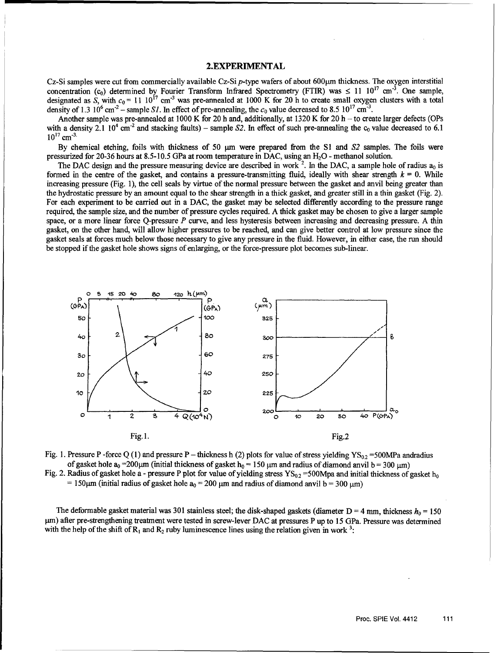### 2.EXPERIMENTAL

Cz-Si samples were cut from commercially available Cz-Si p-type wafers of about 600µm thickness. The oxygen interstitial concentration  $(c_0)$  determined by Fourier Transform Infrared Spectrometry (FTIR) was  $\leq 11 \cdot 10^{17}$  cm<sup>-3</sup>. One sample, designated as S, with  $c_0 = 11 \cdot 10^{17}$  cm<sup>-3</sup> was pre-annealed at 1000 K for 20 h to create small oxygen clusters with a total density of 1.3  $10^6$  cm<sup>-2</sup> - sample *S1*. In effect of pre-annealing, the  $c_0$  value decreased to 8.5  $10^{17}$  cm<sup>-3</sup>.

Another sample was pre-annealed at 1000 K for 20 h and, additionally, at 1320 K for 20 h - to create larger defects (OPs with a density 2.1  $10^4$  cm<sup>-2</sup> and stacking faults) – sample S2. In effect of such pre-annealing the  $c_0$  value decreased to 6.1  $10^{17}$  cm<sup>-3.</sup>

By chemical etching, foils with thickness of 50  $\mu$ m were prepared from the S1 and S2 samples. The foils were pressurized for 20-36 hours at 8.5-10.5 GPa at room temperature in DAC, using an H<sub>2</sub>O - methanol solution.

The DAC design and the pressure measuring device are described in work<sup>2</sup>. In the DAC, a sample hole of radius  $a_0$  is formed in the centre of the gasket, and contains a pressure-transmitting fluid, ideally with shear strength  $k = 0$ . While increasing pressure (Fig. 1), the cell seals by virtue of the normal pressure between the gasket and anvil being greater than the hydrostatic pressure by an amount equal to the shear strength in a thick gasket, and greater still in a thin gasket (Fig. 2). For each experiment to be carried out in a DAC, the gasket may be selected differently according to the pressure range required, the sample size, and the number of pressure cycles required. A thick gasket may be chosen to give a larger sample space, or a more linear force Q-pressure P curve, and less hysteresis between increasing and decreasing pressure. A thin gasket, on the other hand, will allow higher pressures to be reached, and can give better control at low pressure since the gasket seals at forces much below those necessary to give any pressure in the fluid. However, in either case, the run should be stopped if the gasket hole shows signs of enlarging, or the force-pressure plot becomes sub-linear.





Fig. 2. Radius of gasket hole a - pressure P plot for value of yielding stress  $YS_{0.2} = 500$ Mpa and initial thickness of gasket h<sub>o</sub>  $= 150 \mu m$  (initial radius of gasket hole  $a_0 = 200 \mu m$  and radius of diamond anvil b = 300  $\mu$ m)

The deformable gasket material was 301 stainless steel; the disk-shaped gaskets (diameter  $D = 4$  mm, thickness  $h_0 = 150$ pm) after pre-strengthening treatment were tested in screw-lever DAC at pressures P up to 15 GPa. Pressure was determined with the help of the shift of  $R_1$  and  $R_2$  ruby luminescence lines using the relation given in work <sup>3</sup>: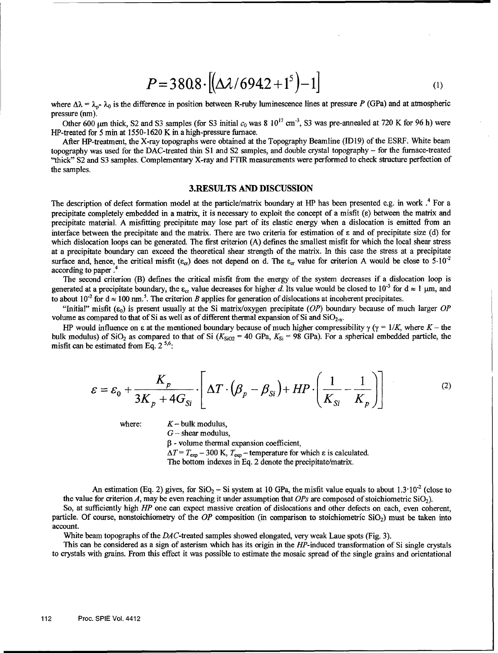$$
P = 3808 \cdot [(\Delta \lambda / 6942 + 1^5) - 1]
$$
 (1)

where  $\Delta\lambda = \lambda_p - \lambda_0$  is the difference in position between R-ruby luminescence lines at pressure P (GPa) and at atmospheric pressure (nm).

Other 600  $\mu$ m thick, S2 and S3 samples (for S3 initial  $c_0$  was 8  $10^{17}$  cm<sup>-3</sup>, S3 was pre-annealed at 720 K for 96 h) were HP-treated for 5 min at 1550-1620 K in a high-pressure furnace.

After HP-treatment, the X-ray topographs were obtained at the Topography Beamline (ID19) of the ESRF. White beam topography was used for the DAC-treated thin **SI** and **S2** samples, and double crystal topography - for the furnace-treated "thick" **S2** and **S3** samples. Complementary X-ray and FTIR measurements were performed to check structure perfection of the samples.

#### 3.RESULTS **AND DISCUSSION**

The description of defect formation model at the particle/matrix boundary at HP has been presented e.g. in work .<sup>4</sup> For a precipitate completely embedded in a matrix, it is necessary to exploit the concept of a misfit **(s)** between the matrix and precipitate material. A misfitting precipitate may lose part of its elastic energy when a dislocation is emitted from an interface between the precipitate and the matrix. There are two criteria for estimation of s and of precipitate size (d) for which dislocation loops can be generated. The first criterion (A) defines the smallest misfit for which the local shear stress at a precipitate boundary can exceed the theoretical shear strength of the matrix. In this case the stress at a precipitate surface and, hence, the critical misfit ( $\varepsilon_{cr}$ ) does not depend on d. The  $\varepsilon_{cr}$  value for criterion A would be close to 5.10<sup>-2</sup> according to paper **.**

The second criterion (B) defines the critical misfit from the energy of the system decreases if a dislocation loop is generated at a precipitate boundary, the  $\varepsilon_{cr}$  value decreases for higher d. Its value would be closed to 10<sup>-3</sup> for d  $\approx 1 \,\mu$ m, and to about  $10^{-2}$  for  $d \approx 100$  nm.<sup>5</sup>. The criterion B applies for generation of dislocations at incoherent precipitates

"Initial" misfit ( $\varepsilon_0$ ) is present usually at the Si matrix/oxygen precipitate (OP) boundary because of much larger OP volume as compared to that of Si as well as of different thermal expansion of Si and  $SiO<sub>2-x</sub>$ .

HP would influence on  $\varepsilon$  at the mentioned boundary because of much higher compressibility  $\gamma$  ( $\gamma = 1/K$ , where  $K -$  the bulk modulus) of SiO<sub>2</sub> as compared to that of Si ( $K_{SiO2}$  = 40 GPa,  $K_{Si}$  = 98 GPa). For a spherical embedded particle, the misfit can be estimated from Eq.  $2^{5,6}$ :

$$
\varepsilon = \varepsilon_0 + \frac{K_p}{3K_p + 4G_{Si}} \cdot \left[ \Delta T \cdot (\beta_p - \beta_{Si}) + HP \cdot \left( \frac{1}{K_{Si}} - \frac{1}{K_p} \right) \right]
$$
 (2)

where:  $K - \text{bulk modulus}$ ,

 $G$  – shear modulus,

 $\beta$  - volume thermal expansion coefficient,

 $\Delta T = T_{\text{exp}} - 300 \text{ K}$ ,  $T_{\text{exp}} -$  temperature for which  $\varepsilon$  is calculated.

The bottom indexes in Eq. 2 denote the precipitate/matrix.

An estimation (Eq. 2) gives, for  $SiO_2 - Si$  system at 10 GPa, the misfit value equals to about 1.3°10<sup>-2</sup> (close to the value for criterion A, may be even reaching it under assumption that *OPs* are composed of stoichiometric SiO2).

So, at sufficiently high HP one can expect massive creation of dislocations and other defects on each, even coherent, particle. Of course, nonstoichiometry of the OP composition (in comparison to stoichiometric  $SiO<sub>2</sub>$ ) must be taken into account.

White beam topographs of the DAC-treated samples showed elongated, very weak Laue spots (Fig. 3).

This can be considered as a sign of asterism which has its origin in the HP-induced transformation of Si single crystals to crystals with grains. From this effect it was possible to estimate the mosaic spread of the single grains and orientational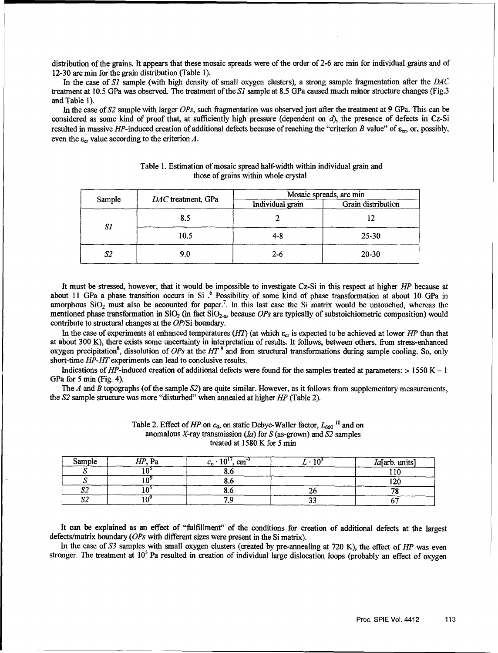distribution of the grains. It appears that these mosaic spreads were of the order of 2-6 arc min for individual grains and of 12-30 arc min for the grain distribution (Table **1).**

In the case of *S1* sample (with high density of small oxygen clusters), a strong sample fragmentation after the *DAC* treatment at 10.5 GPa was observed. The treatment of the **S1** sample at 8.5 GPa caused much minor structure changes (Fig.3 and Table **1).**

In the case of *S2* sample with larger *OPs,* such fragmentation was observed just after the treatment at 9 GPa. This can be considered as some kind of proof that, at sufficiently high pressure (dependent on *d),* the presence of defects in Cz-Si resulted in massive HP-induced creation of additional defects because of reaching the "criterion B value" of **&,,** or, possibly, even the  $\varepsilon_{cr}$  value according to the criterion A.

| Sample | DAC treatment, GPa | Mosaic spreads, arc min |                    |
|--------|--------------------|-------------------------|--------------------|
|        |                    | Individual grain        | Grain distribution |
| SI     | 8.5                |                         |                    |
|        | 10.5               | $4 - 8$                 | $25 - 30$          |
| S2     | 9.0                | $2 - 6$                 | 20-30              |

#### Table 1. Estimation of mosaic spread half-width within individual grain and those of grains within whole crystal

It must be stressed, however, that it would be impossible to investigate Cz-Si in this respect at higher HP because at about 11 GPa a phase transition occurs in Si **.6** Possibility of some kind of phase transformation at about 10 GPa in amorphous  $SiO<sub>2</sub>$  must also be accounted for paper.<sup>7</sup>. In this last case the Si matrix would be untouched, whereas the mentioned phase transformation in SiO<sub>2</sub> (in fact SiO<sub>2-x</sub>, because OPs are typically of substoichiometric composition) would contribute to structural changes at the OP/Si boundary.

In the case of experiments at enhanced temperatures (HT) (at which  $\varepsilon_{cr}$  is expected to be achieved at lower HP than that at about 300 K), there exists some uncertainty in interpretation of results. It follows, between others, from stress-enhanced oxygen precipitation<sup>8</sup>, dissolution of *OPs* at the *HT* <sup>9</sup> and from structural transformations during sample cooling. So, only short-time HP-HT experiments can lead to conclusive results.

Indications of HP-induced creation of additional defects were found for the samples treated at parameters:  $> 1550$  K - 1 GPa for 5 min (Fig. 4).

The A and B topographs (of the sample *S2)* are quite similar. However, as it follows from supplementary measurements, the *S2* sample structure was more "disturbed" when annealed at higher HP (Table 2).

| Sample | <b>LTD</b><br>. Pa | $c_0 \cdot 10^{17}$ , cm <sup>-3</sup> | <i>Ia</i> [arb. units] |
|--------|--------------------|----------------------------------------|------------------------|
|        |                    |                                        |                        |
|        |                    |                                        |                        |
| مص     |                    |                                        |                        |
| ມ      |                    |                                        |                        |

Table 2. Effect of *HP* on  $c_0$ , on static Debye-Waller factor,  $L_{660}$ <sup>10</sup> and on anomalous X-ray transmission (Ia) for S (as-grown) and *S2* samples treated at **1580** K for **5** min

It can be explained as an effect of "fulfillment" of the conditions for creation of additional defects at the largest defects/matrix boundary (OPs with different sizes were present in the Si matrix).

In the case of *S3* samples with small oxygen clusters (created by pre-annealing at 720 K), the effect of *HP* was even stronger. The treatment at 10<sup>5</sup> Pa resulted in creation of individual large dislocation loops (probably an effect of oxygen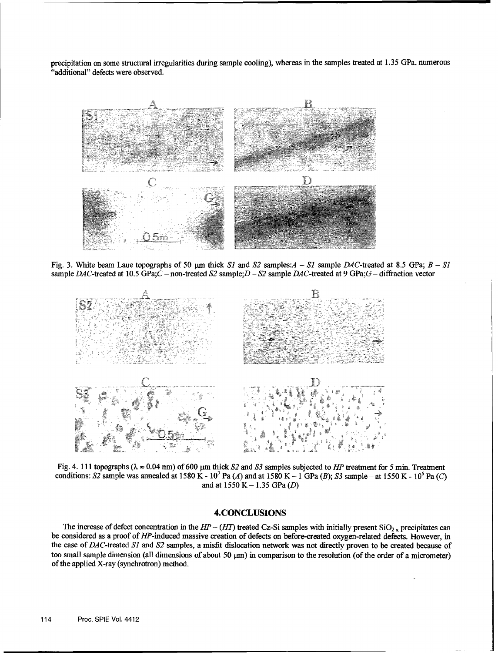precipitation on some structural irregularities during sample cooling), whereas in the samples treated at 1.35 GPa, numerous "additional" defects were observed.



Fig. 3. White beam Laue topographs of 50  $\mu$ m thick *S1* and *S2* samples: $A - SI$  sample DAC-treated at 8.5 GPa;  $B - SI$ sample DAC-treated at 10.5 GPa;C -non-treated **S2** sample;D- *-2* sample DAC-treated at 9 GPa;G - diffraction vector



Fig. 4. 111 topographs  $(\lambda \approx 0.04 \text{ nm})$  of 600  $\mu$ m thick *S2* and *S3* samples subjected to *HP* treatment for 5 min. Treatment conditions: S2 sample was annealed at 1580 K -  $10^7$  Pa (A) and at 1580 K - 1 GPa (B); S3 sample - at 1550 K -  $10^5$  Pa (C) and at 1550 K - 1.35 GPa (D)

#### **4.CONCLUSIONS**

The increase of defect concentration in the  $HP - (HT)$  treated Cz-Si samples with initially present  $SiO_{2-x}$  precipitates can be considered as a proof of HP-induced massive creation of defects on before-created oxygen-related defects. However, in the case of DAC-treated \$1 *and* **S2** samples, a misfit dislocation network was not directly proven to be created because of too small sample dimension (all dimensions of about  $50 \mu m$ ) in comparison to the resolution (of the order of a micrometer) of the applied X-ray (synchrotron) method.